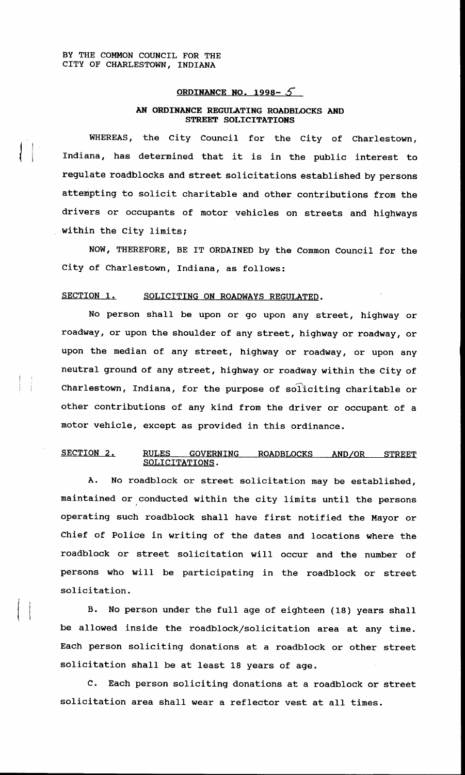I

### **ORDINANCE NO. 1998-5**

## **AN ORDINANCE REGULATING ROADBLOCKS AND STREET SOLICITATIONS**

WHEREAS, the City Council for the City of Charlestown, Indiana, has determined that it is in the public interest to regulate roadblocks and street solicitations established by persons attempting to solicit charitable and other contributions from the drivers or occupants of motor vehicles on streets and highways within the City limits;

NOW, THEREFORE, BE IT ORDAINED by the Common Council for the City of Charlestown, Indiana, as follows:

# SECTION 1. SOLICITING ON ROADWAYS REGULATED.

No person shall be upon or go upon any street, highway or roadway, or upon the shoulder of any street, highway or roadway, or upon the median of any street, highway or roadway, or upon any neutral ground of any street, highway or roadway within the City of Charlestown, Indiana, for the purpose of soliciting charitable or other contributions of any kind from the driver or occupant of a motor vehicle, except as provided in this ordinance.

## SECTION 2. RULES GOVERNING ROADBLOCKS AND/OR STREET SOLICITATIONS.

A. No roadblock or street solicitation may be established, maintained or conducted within the city limits until the persons operating such roadblock shall have first notified the Mayor or Chief of Police in writing of the dates and locations where the roadblock or street solicitation will occur and the number of persons who will be participating in the roadblock or street solicitation.

**B.** No person under the full age of eighteen (18) years shall be allowed inside the roadblock/solicitation area at any time. Each person soliciting donations at a roadblock or other street solicitation shall be at least 18 years of age.

 $\mathbf{c}$ . Each person soliciting donations at a roadblock or street solicitation area shall wear a reflector vest at all times.